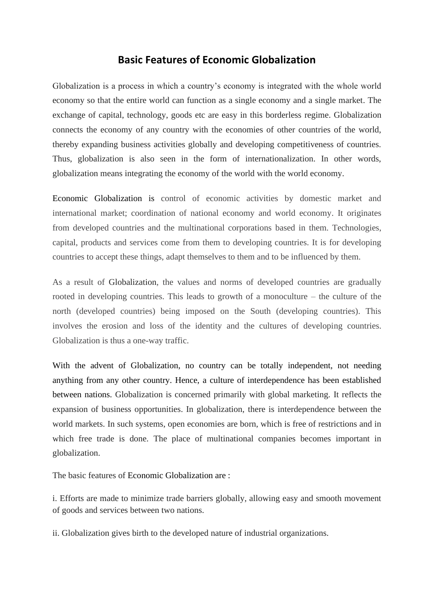## **Basic Features of Economic Globalization**

Globalization is a process in which a country's economy is integrated with the whole world economy so that the entire world can function as a single economy and a single market. The exchange of capital, technology, goods etc are easy in this borderless regime. Globalization connects the economy of any country with the economies of other countries of the world, thereby expanding business activities globally and developing competitiveness of countries. Thus, globalization is also seen in the form of internationalization. In other words, globalization means integrating the economy of the world with the world economy.

Economic Globalization is control of economic activities by domestic market and international market; coordination of national economy and world economy. It originates from developed countries and the multinational corporations based in them. Technologies, capital, products and services come from them to developing countries. It is for developing countries to accept these things, adapt themselves to them and to be influenced by them.

As a result of Globalization, the values and norms of developed countries are gradually rooted in developing countries. This leads to growth of a monoculture – the culture of the north (developed countries) being imposed on the South (developing countries). This involves the erosion and loss of the identity and the cultures of developing countries. Globalization is thus a one-way traffic.

With the advent of Globalization, no country can be totally independent, not needing anything from any other country. Hence, a culture of interdependence has been established between nations. Globalization is concerned primarily with global marketing. It reflects the expansion of business opportunities. In globalization, there is interdependence between the world markets. In such systems, open economies are born, which is free of restrictions and in which free trade is done. The place of multinational companies becomes important in globalization.

The basic features of Economic Globalization are :

i. Efforts are made to minimize trade barriers globally, allowing easy and smooth movement of goods and services between two nations.

ii. Globalization gives birth to the developed nature of industrial organizations.